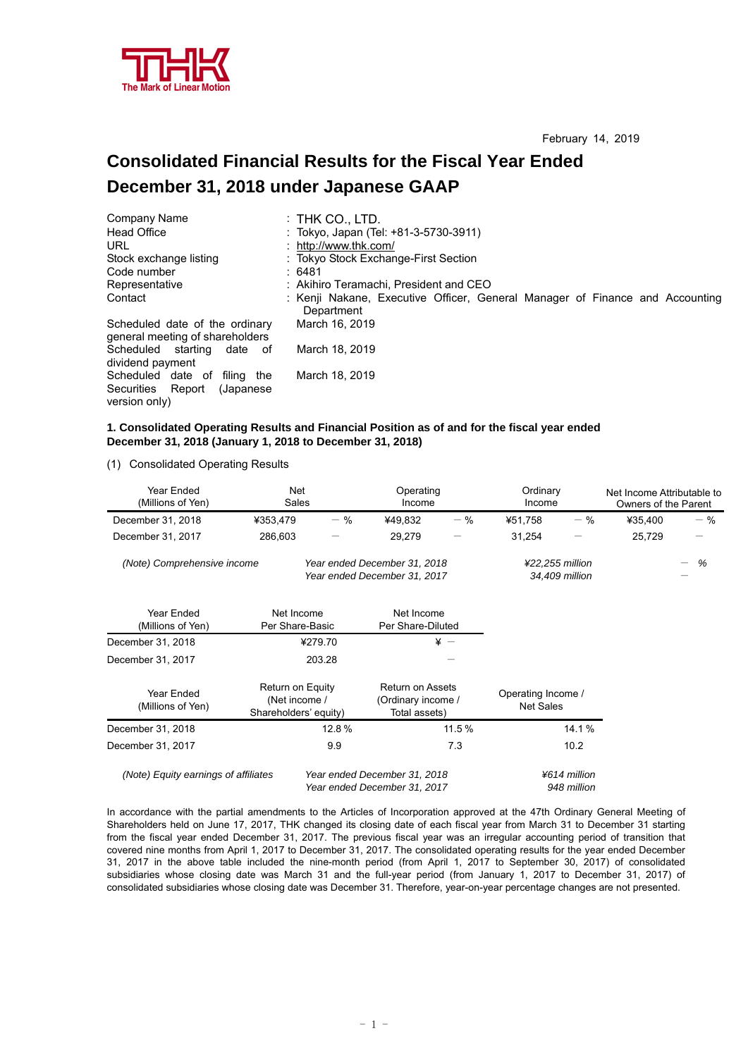

# **Consolidated Financial Results for the Fiscal Year Ended December 31, 2018 under Japanese GAAP**

| Company Name                                                      | $:$ Thk Co., LTD.                                                                          |
|-------------------------------------------------------------------|--------------------------------------------------------------------------------------------|
| Head Office                                                       | : Tokyo, Japan (Tel: +81-3-5730-3911)                                                      |
| URL                                                               | : http://www.thk.com/                                                                      |
| Stock exchange listing                                            | : Tokyo Stock Exchange-First Section                                                       |
| Code number                                                       | : 6481                                                                                     |
| Representative                                                    | : Akihiro Teramachi, President and CEO                                                     |
| Contact                                                           | : Kenji Nakane, Executive Officer, General Manager of Finance and Accounting<br>Department |
| Scheduled date of the ordinary<br>general meeting of shareholders | March 16, 2019                                                                             |
| Scheduled starting<br>date of<br>dividend payment                 | March 18, 2019                                                                             |
| Scheduled date of filing the                                      | March 18, 2019                                                                             |
| Securities Report<br>(Japanese)                                   |                                                                                            |
| version only)                                                     |                                                                                            |

#### **1. Consolidated Operating Results and Financial Position as of and for the fiscal year ended December 31, 2018 (January 1, 2018 to December 31, 2018)**

(1) Consolidated Operating Results

| Year Ended<br>(Millions of Yen)                                                             | Net<br>Sales                                               |         | Operating<br>Income                                            |                 | Ordinary<br>Income                     |              | Net Income Attributable to<br>Owners of the Parent |       |
|---------------------------------------------------------------------------------------------|------------------------------------------------------------|---------|----------------------------------------------------------------|-----------------|----------------------------------------|--------------|----------------------------------------------------|-------|
| December 31, 2018                                                                           | ¥353,479                                                   | $-$ %   | ¥49,832                                                        | $-$ %           | ¥51,758                                | $-$ %        | ¥35,400                                            | $-$ % |
| December 31, 2017                                                                           | 286,603                                                    |         | 29,279                                                         |                 | 31,254                                 |              | 25,729                                             |       |
| (Note) Comprehensive income<br>Year ended December 31, 2018<br>Year ended December 31, 2017 |                                                            |         | ¥22,255 million<br>34,409 million                              |                 | %                                      |              |                                                    |       |
| Year Ended<br>(Millions of Yen)                                                             | Net Income<br>Per Share-Basic                              |         | Net Income<br>Per Share-Diluted                                |                 |                                        |              |                                                    |       |
| December 31, 2018                                                                           |                                                            | ¥279.70 |                                                                | $\frac{1}{2}$ - |                                        |              |                                                    |       |
| December 31, 2017                                                                           |                                                            | 203.28  |                                                                |                 |                                        |              |                                                    |       |
| Year Ended<br>(Millions of Yen)                                                             | Return on Equity<br>(Net income /<br>Shareholders' equity) |         | <b>Return on Assets</b><br>(Ordinary income /<br>Total assets) |                 | Operating Income /<br><b>Net Sales</b> |              |                                                    |       |
| December 31, 2018                                                                           |                                                            | 12.8%   |                                                                | 11.5%           |                                        | 14.1%        |                                                    |       |
| December 31, 2017                                                                           |                                                            | 9.9     |                                                                | 7.3             |                                        | 10.2         |                                                    |       |
| (Note) Equity earnings of affiliates                                                        |                                                            |         | Year ended December 31, 2018                                   |                 |                                        | ¥614 million |                                                    |       |

 *Year ended December 31, 2017 948 million* 

In accordance with the partial amendments to the Articles of Incorporation approved at the 47th Ordinary General Meeting of Shareholders held on June 17, 2017, THK changed its closing date of each fiscal year from March 31 to December 31 starting from the fiscal year ended December 31, 2017. The previous fiscal year was an irregular accounting period of transition that covered nine months from April 1, 2017 to December 31, 2017. The consolidated operating results for the year ended December 31, 2017 in the above table included the nine-month period (from April 1, 2017 to September 30, 2017) of consolidated subsidiaries whose closing date was March 31 and the full-year period (from January 1, 2017 to December 31, 2017) of consolidated subsidiaries whose closing date was December 31. Therefore, year-on-year percentage changes are not presented.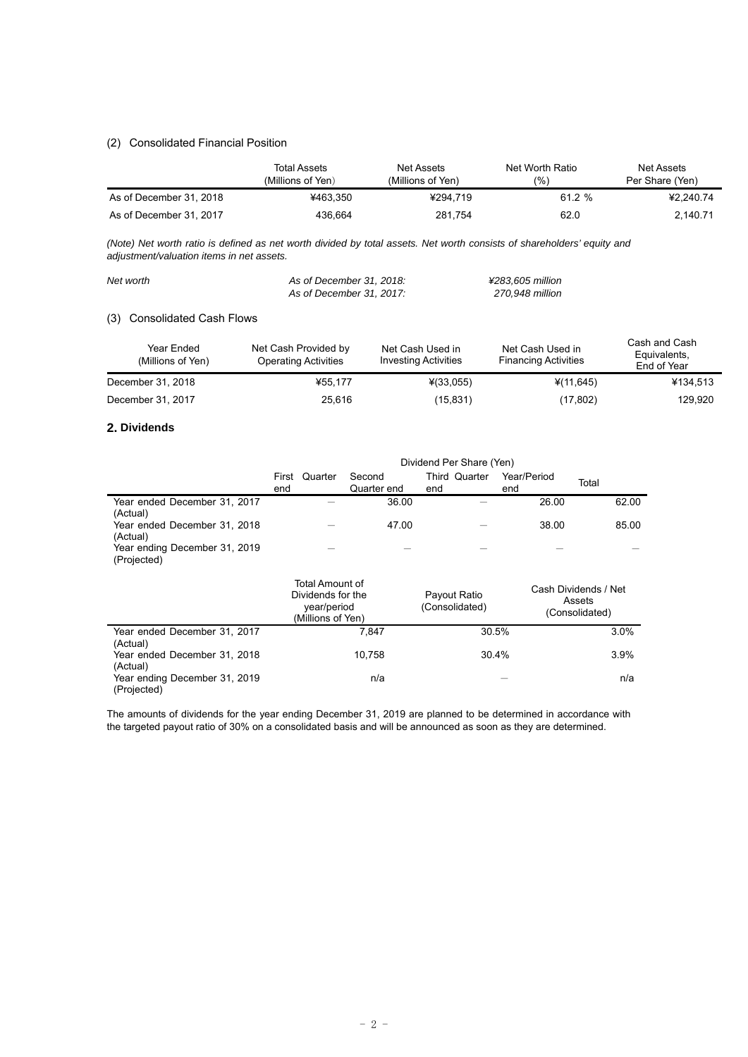## (2) Consolidated Financial Position

|                         | Total Assets<br>(Millions of Yen) | Net Assets<br>(Millions of Yen) | Net Worth Ratio<br>(%) | Net Assets<br>Per Share (Yen) |
|-------------------------|-----------------------------------|---------------------------------|------------------------|-------------------------------|
| As of December 31, 2018 | ¥463.350                          | ¥294.719                        | 61.2%                  | ¥2.240.74                     |
| As of December 31, 2017 | 436.664                           | 281.754                         | 62.0                   | 2,140.71                      |

*(Note) Net worth ratio is defined as net worth divided by total assets. Net worth consists of shareholders' equity and adjustment/valuation items in net assets.* 

| Net worth | As of December 31, 2018: | ¥283.605 million |
|-----------|--------------------------|------------------|
|           | As of December 31, 2017: | 270.948 million  |

## (3) Consolidated Cash Flows

| Year Ended<br>(Millions of Yen) | Net Cash Provided by<br><b>Operating Activities</b> | Net Cash Used in<br><b>Investing Activities</b> | Net Cash Used in<br><b>Financing Activities</b> | Cash and Cash<br>Equivalents,<br>End of Year |
|---------------------------------|-----------------------------------------------------|-------------------------------------------------|-------------------------------------------------|----------------------------------------------|
| December 31, 2018               | ¥55.177                                             | $*(33,055)$                                     | ¥(11,645)                                       | ¥134,513                                     |
| December 31, 2017               | 25.616                                              | (15, 831)                                       | (17, 802)                                       | 129.920                                      |

#### **2. Dividends**

|                                              | Dividend Per Share (Yen)                                                 |                       |                                |                    |                                                  |
|----------------------------------------------|--------------------------------------------------------------------------|-----------------------|--------------------------------|--------------------|--------------------------------------------------|
|                                              | Quarter<br>First<br>end                                                  | Second<br>Quarter end | Third Quarter<br>end           | Year/Period<br>end | Total                                            |
| Year ended December 31, 2017<br>(Actual)     |                                                                          | 36.00                 |                                | 26.00              | 62.00                                            |
| Year ended December 31, 2018<br>(Actual)     |                                                                          | 47.00                 |                                | 38.00              | 85.00                                            |
| Year ending December 31, 2019<br>(Projected) |                                                                          |                       |                                |                    |                                                  |
|                                              | Total Amount of<br>Dividends for the<br>year/period<br>(Millions of Yen) |                       | Payout Ratio<br>(Consolidated) |                    | Cash Dividends / Net<br>Assets<br>(Consolidated) |
| Year ended December 31, 2017<br>(Actual)     |                                                                          | 7,847                 | 30.5%                          |                    | 3.0%                                             |
| Year ended December 31, 2018<br>(Actual)     |                                                                          | 10,758                | 30.4%                          |                    | 3.9%                                             |
| Year ending December 31, 2019<br>(Projected) |                                                                          | n/a                   |                                |                    | n/a                                              |

The amounts of dividends for the year ending December 31, 2019 are planned to be determined in accordance with the targeted payout ratio of 30% on a consolidated basis and will be announced as soon as they are determined.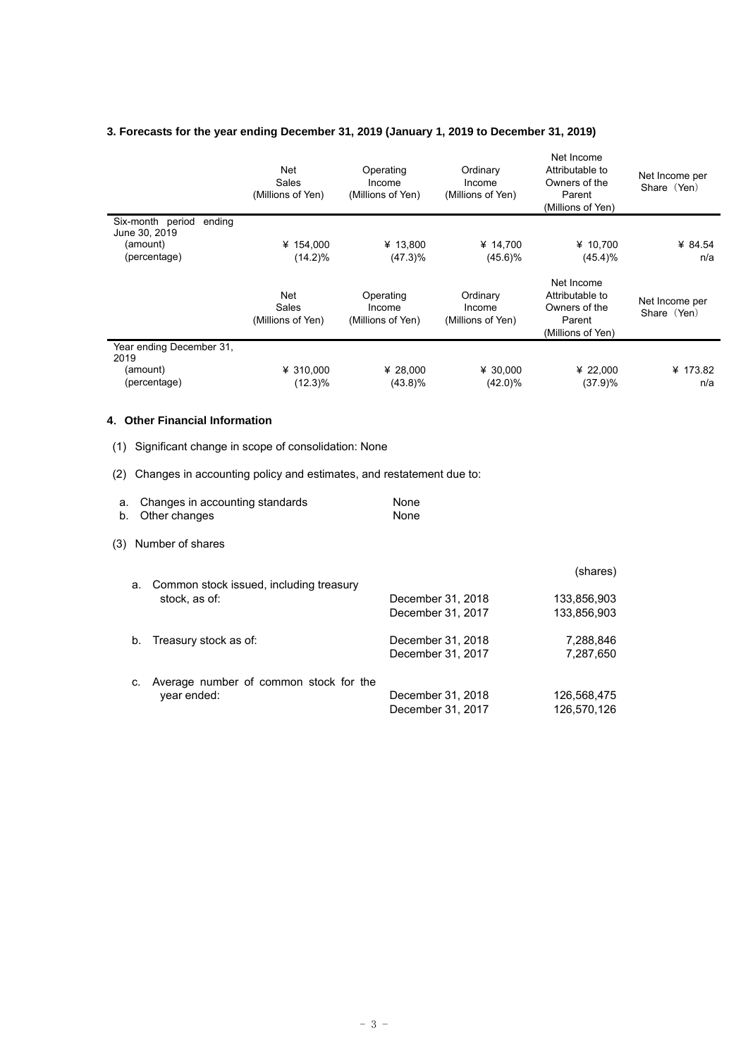## **3. Forecasts for the year ending December 31, 2019 (January 1, 2019 to December 31, 2019)**

|                                                                                                                                                                                                                                           | Net<br>Sales<br>(Millions of Yen)               | Operating<br>Income<br>(Millions of Yen) | Ordinary<br>Income<br>(Millions of Yen) | Net Income<br>Attributable to<br>Owners of the<br>Parent<br>(Millions of Yen) | Net Income per<br>Share (Yen) |
|-------------------------------------------------------------------------------------------------------------------------------------------------------------------------------------------------------------------------------------------|-------------------------------------------------|------------------------------------------|-----------------------------------------|-------------------------------------------------------------------------------|-------------------------------|
| Six-month period ending<br>June 30, 2019<br>(amount)<br>(percentage)                                                                                                                                                                      | ¥ 154,000<br>$(14.2)\%$                         | ¥ 13,800<br>$(47.3)\%$                   | ¥ 14,700<br>$(45.6)\%$                  | ¥ 10,700<br>$(45.4)\%$                                                        | ¥ 84.54<br>n/a                |
|                                                                                                                                                                                                                                           | <b>Net</b><br><b>Sales</b><br>(Millions of Yen) | Operating<br>Income<br>(Millions of Yen) | Ordinary<br>Income<br>(Millions of Yen) | Net Income<br>Attributable to<br>Owners of the<br>Parent<br>(Millions of Yen) | Net Income per<br>Share (Yen) |
| Year ending December 31,<br>2019                                                                                                                                                                                                          |                                                 |                                          |                                         |                                                                               |                               |
| (amount)<br>(percentage)                                                                                                                                                                                                                  | ¥ 310,000<br>$(12.3)\%$                         | ¥ 28,000<br>$(43.8)\%$                   | ¥ 30,000<br>$(42.0)\%$                  | ¥ 22,000<br>(37.9)%                                                           | ¥ 173.82<br>n/a               |
| 4. Other Financial Information<br>Significant change in scope of consolidation: None<br>(1)<br>Changes in accounting policy and estimates, and restatement due to:<br>(2)<br>Changes in accounting standards<br>a.<br>Other changes<br>b. |                                                 | None<br>None                             |                                         |                                                                               |                               |
|                                                                                                                                                                                                                                           |                                                 |                                          |                                         |                                                                               |                               |
| Number of shares<br>(3)                                                                                                                                                                                                                   |                                                 |                                          |                                         |                                                                               |                               |
| а.                                                                                                                                                                                                                                        | Common stock issued, including treasury         |                                          |                                         | (shares)                                                                      |                               |
| stock, as of:                                                                                                                                                                                                                             |                                                 |                                          | December 31, 2018<br>December 31, 2017  | 133,856,903<br>133,856,903                                                    |                               |
| Treasury stock as of:<br>b.                                                                                                                                                                                                               |                                                 |                                          | December 31, 2018<br>December 31, 2017  | 7,288,846<br>7,287,650                                                        |                               |
| C.<br>year ended:                                                                                                                                                                                                                         | Average number of common stock for the          |                                          | December 31, 2018<br>December 31, 2017  | 126,568,475<br>126,570,126                                                    |                               |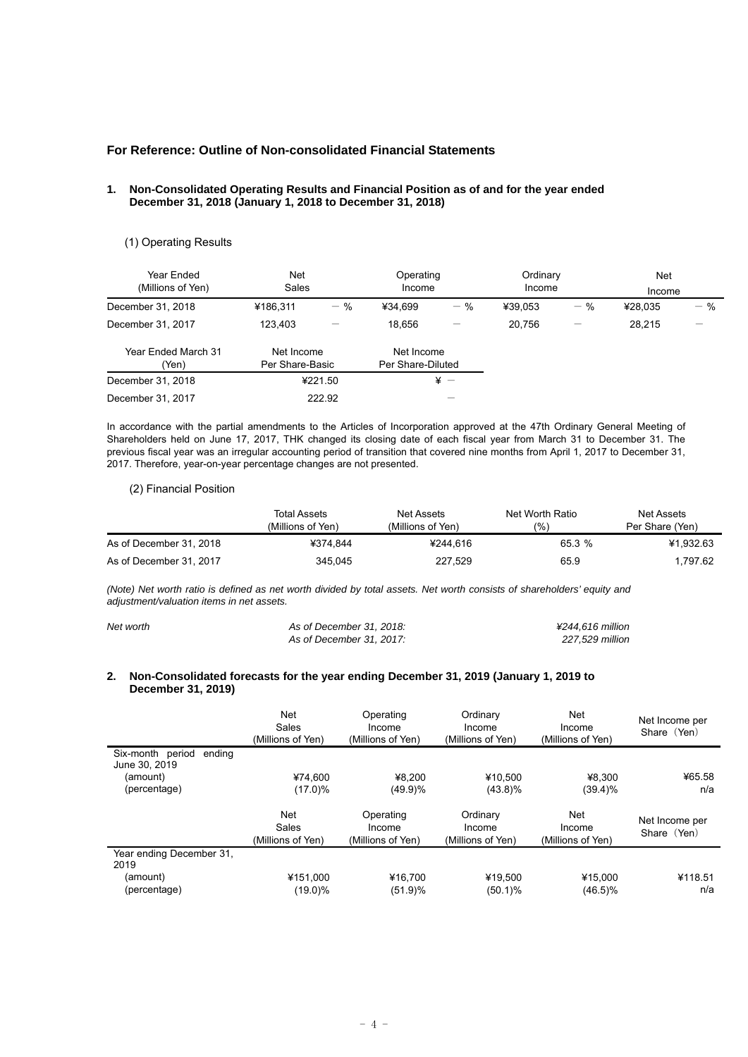## **For Reference: Outline of Non-consolidated Financial Statements**

#### **1. Non-Consolidated Operating Results and Financial Position as of and for the year ended December 31, 2018 (January 1, 2018 to December 31, 2018)**

### (1) Operating Results

| Year Ended<br>(Millions of Yen) | <b>Net</b><br>Sales           |         | Operating<br>Income             |                 | Ordinary<br>Income |       | <b>Net</b><br>Income |       |
|---------------------------------|-------------------------------|---------|---------------------------------|-----------------|--------------------|-------|----------------------|-------|
| December 31, 2018               | ¥186,311                      | $-$ %   | ¥34.699                         | $-$ %           | ¥39.053            | $-$ % | ¥28.035              | $-$ % |
| December 31, 2017               | 123.403                       |         | 18.656                          | —               | 20.756             |       | 28.215               | –     |
| Year Ended March 31<br>'Yen)    | Net Income<br>Per Share-Basic |         | Net Income<br>Per Share-Diluted |                 |                    |       |                      |       |
| December 31, 2018               |                               | ¥221.50 |                                 | $\frac{1}{2}$ - |                    |       |                      |       |
| December 31, 2017               |                               | 222.92  |                                 |                 |                    |       |                      |       |

In accordance with the partial amendments to the Articles of Incorporation approved at the 47th Ordinary General Meeting of Shareholders held on June 17, 2017, THK changed its closing date of each fiscal year from March 31 to December 31. The previous fiscal year was an irregular accounting period of transition that covered nine months from April 1, 2017 to December 31, 2017. Therefore, year-on-year percentage changes are not presented.

#### (2) Financial Position

|                         | Total Assets      | Net Assets         | Net Worth Ratio | Net Assets      |
|-------------------------|-------------------|--------------------|-----------------|-----------------|
|                         | (Millions of Yen) | (Millions of Yen). | (%`             | Per Share (Yen) |
| As of December 31, 2018 | ¥374.844          | ¥244.616           | 65.3 %          | ¥1.932.63       |
| As of December 31, 2017 | 345.045           | 227.529            | 65.9            | 1.797.62        |

*(Note) Net worth ratio is defined as net worth divided by total assets. Net worth consists of shareholders' equity and adjustment/valuation items in net assets.* 

| Net worth | As of December 31, 2018: | ¥244.616 million |
|-----------|--------------------------|------------------|
|           | As of December 31, 2017: | 227.529 million  |

#### **2. Non-Consolidated forecasts for the year ending December 31, 2019 (January 1, 2019 to December 31, 2019)**

|                                             | Net<br>Sales<br>(Millions of Yen) | Operating<br>Income<br>(Millions of Yen) | Ordinary<br>Income<br>(Millions of Yen) | <b>Net</b><br>Income<br>(Millions of Yen) | Net Income per<br>Share (Yen) |
|---------------------------------------------|-----------------------------------|------------------------------------------|-----------------------------------------|-------------------------------------------|-------------------------------|
| Six-month period<br>ending<br>June 30, 2019 |                                   |                                          |                                         |                                           |                               |
| (amount)                                    | ¥74.600                           | ¥8.200                                   | ¥10.500                                 | ¥8.300                                    | ¥65.58                        |
| (percentage)                                | $(17.0)\%$                        | (49.9)%                                  | $(43.8)\%$                              | $(39.4)\%$                                | n/a                           |
|                                             | Net<br>Sales<br>(Millions of Yen) | Operating<br>Income<br>(Millions of Yen) | Ordinary<br>Income<br>(Millions of Yen) | Net<br>Income<br>(Millions of Yen)        | Net Income per<br>Share (Yen) |
| Year ending December 31,<br>2019            |                                   |                                          |                                         |                                           |                               |
| (amount)                                    | ¥151,000                          | ¥16,700                                  | ¥19,500                                 | ¥15,000                                   | ¥118.51                       |
| (percentage)                                | $(19.0)\%$                        | (51.9)%                                  | $(50.1)\%$                              | $(46.5)\%$                                | n/a                           |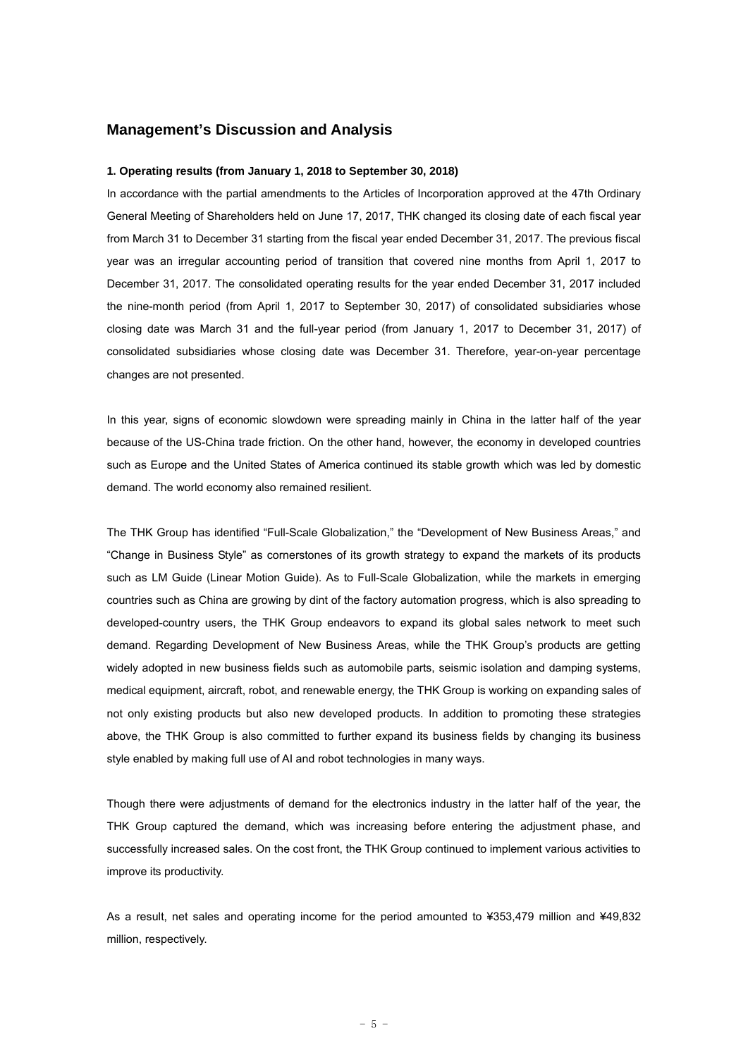## **Management's Discussion and Analysis**

#### **1. Operating results (from January 1, 2018 to September 30, 2018)**

In accordance with the partial amendments to the Articles of Incorporation approved at the 47th Ordinary General Meeting of Shareholders held on June 17, 2017, THK changed its closing date of each fiscal year from March 31 to December 31 starting from the fiscal year ended December 31, 2017. The previous fiscal year was an irregular accounting period of transition that covered nine months from April 1, 2017 to December 31, 2017. The consolidated operating results for the year ended December 31, 2017 included the nine-month period (from April 1, 2017 to September 30, 2017) of consolidated subsidiaries whose closing date was March 31 and the full-year period (from January 1, 2017 to December 31, 2017) of consolidated subsidiaries whose closing date was December 31. Therefore, year-on-year percentage changes are not presented.

In this year, signs of economic slowdown were spreading mainly in China in the latter half of the year because of the US-China trade friction. On the other hand, however, the economy in developed countries such as Europe and the United States of America continued its stable growth which was led by domestic demand. The world economy also remained resilient.

The THK Group has identified "Full-Scale Globalization," the "Development of New Business Areas," and "Change in Business Style" as cornerstones of its growth strategy to expand the markets of its products such as LM Guide (Linear Motion Guide). As to Full-Scale Globalization, while the markets in emerging countries such as China are growing by dint of the factory automation progress, which is also spreading to developed-country users, the THK Group endeavors to expand its global sales network to meet such demand. Regarding Development of New Business Areas, while the THK Group's products are getting widely adopted in new business fields such as automobile parts, seismic isolation and damping systems, medical equipment, aircraft, robot, and renewable energy, the THK Group is working on expanding sales of not only existing products but also new developed products. In addition to promoting these strategies above, the THK Group is also committed to further expand its business fields by changing its business style enabled by making full use of AI and robot technologies in many ways.

Though there were adjustments of demand for the electronics industry in the latter half of the year, the THK Group captured the demand, which was increasing before entering the adjustment phase, and successfully increased sales. On the cost front, the THK Group continued to implement various activities to improve its productivity.

As a result, net sales and operating income for the period amounted to ¥353,479 million and ¥49,832 million, respectively.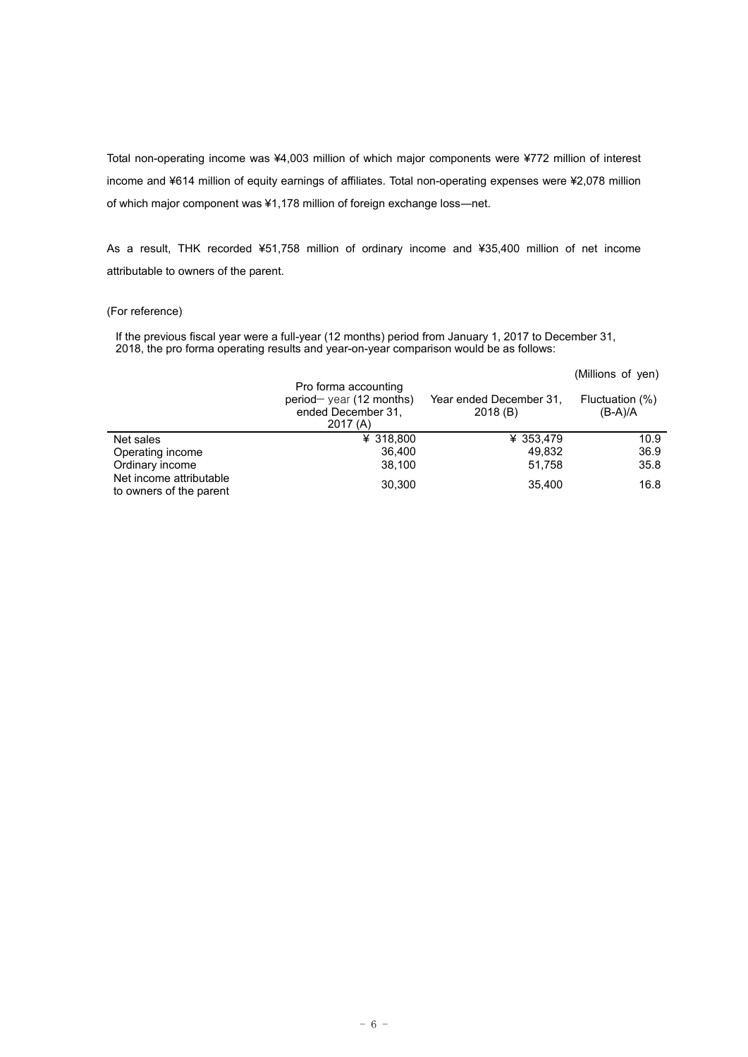Total non-operating income was ¥4,003 million of which major components were ¥772 million of interest income and ¥614 million of equity earnings of affiliates. Total non-operating expenses were ¥2,078 million of which major component was ¥1,178 million of foreign exchange loss―net.

As a result, THK recorded ¥51,758 million of ordinary income and ¥35,400 million of net income attributable to owners of the parent.

### (For reference)

If the previous fiscal year were a full-year (12 months) period from January 1, 2017 to December 31, 2018, the pro forma operating results and year-on-year comparison would be as follows:

|                                                    |                                                                                    |                                    | (Millions of yen)            |
|----------------------------------------------------|------------------------------------------------------------------------------------|------------------------------------|------------------------------|
|                                                    | Pro forma accounting<br>$period$ year (12 months)<br>ended December 31,<br>2017(A) | Year ended December 31.<br>2018(B) | Fluctuation (%)<br>$(B-A)/A$ |
| Net sales                                          | ¥ 318,800                                                                          | ¥ 353.479                          | 10.9                         |
| Operating income                                   | 36.400                                                                             | 49.832                             | 36.9                         |
| Ordinary income                                    | 38,100                                                                             | 51,758                             | 35.8                         |
| Net income attributable<br>to owners of the parent | 30.300                                                                             | 35,400                             | 16.8                         |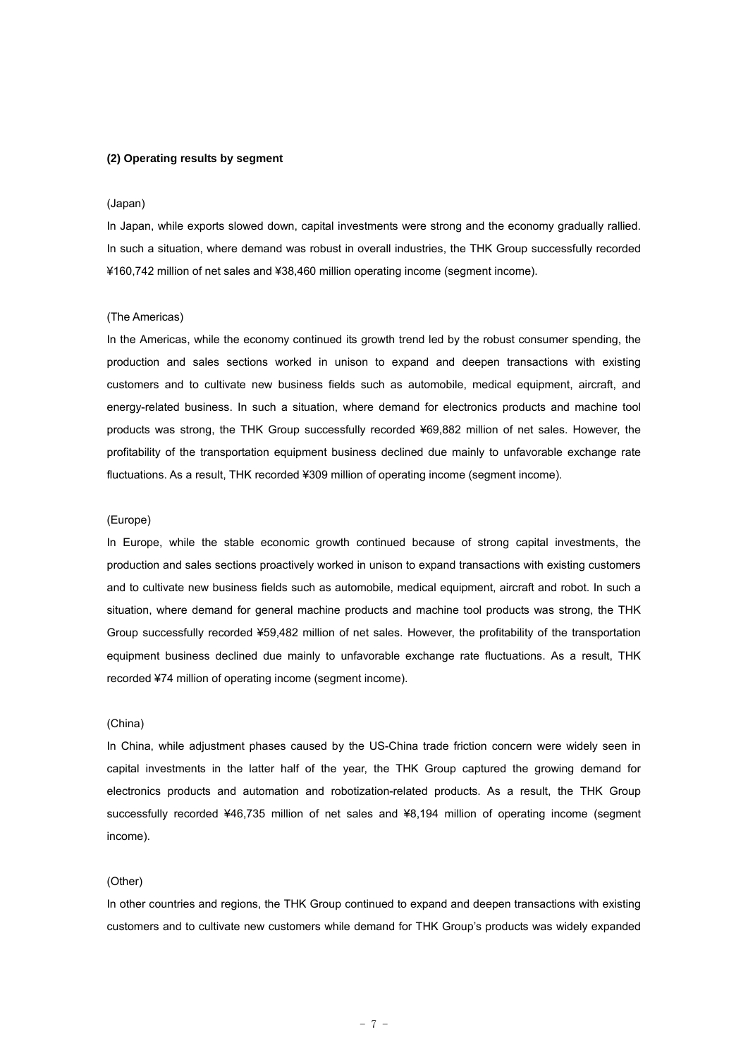#### **(2) Operating results by segment**

#### (Japan)

In Japan, while exports slowed down, capital investments were strong and the economy gradually rallied. In such a situation, where demand was robust in overall industries, the THK Group successfully recorded ¥160,742 million of net sales and ¥38,460 million operating income (segment income).

#### (The Americas)

In the Americas, while the economy continued its growth trend led by the robust consumer spending, the production and sales sections worked in unison to expand and deepen transactions with existing customers and to cultivate new business fields such as automobile, medical equipment, aircraft, and energy-related business. In such a situation, where demand for electronics products and machine tool products was strong, the THK Group successfully recorded ¥69,882 million of net sales. However, the profitability of the transportation equipment business declined due mainly to unfavorable exchange rate fluctuations. As a result, THK recorded ¥309 million of operating income (segment income).

#### (Europe)

In Europe, while the stable economic growth continued because of strong capital investments, the production and sales sections proactively worked in unison to expand transactions with existing customers and to cultivate new business fields such as automobile, medical equipment, aircraft and robot. In such a situation, where demand for general machine products and machine tool products was strong, the THK Group successfully recorded ¥59,482 million of net sales. However, the profitability of the transportation equipment business declined due mainly to unfavorable exchange rate fluctuations. As a result, THK recorded ¥74 million of operating income (segment income).

### (China)

In China, while adjustment phases caused by the US-China trade friction concern were widely seen in capital investments in the latter half of the year, the THK Group captured the growing demand for electronics products and automation and robotization-related products. As a result, the THK Group successfully recorded ¥46,735 million of net sales and ¥8,194 million of operating income (segment income).

### (Other)

In other countries and regions, the THK Group continued to expand and deepen transactions with existing customers and to cultivate new customers while demand for THK Group's products was widely expanded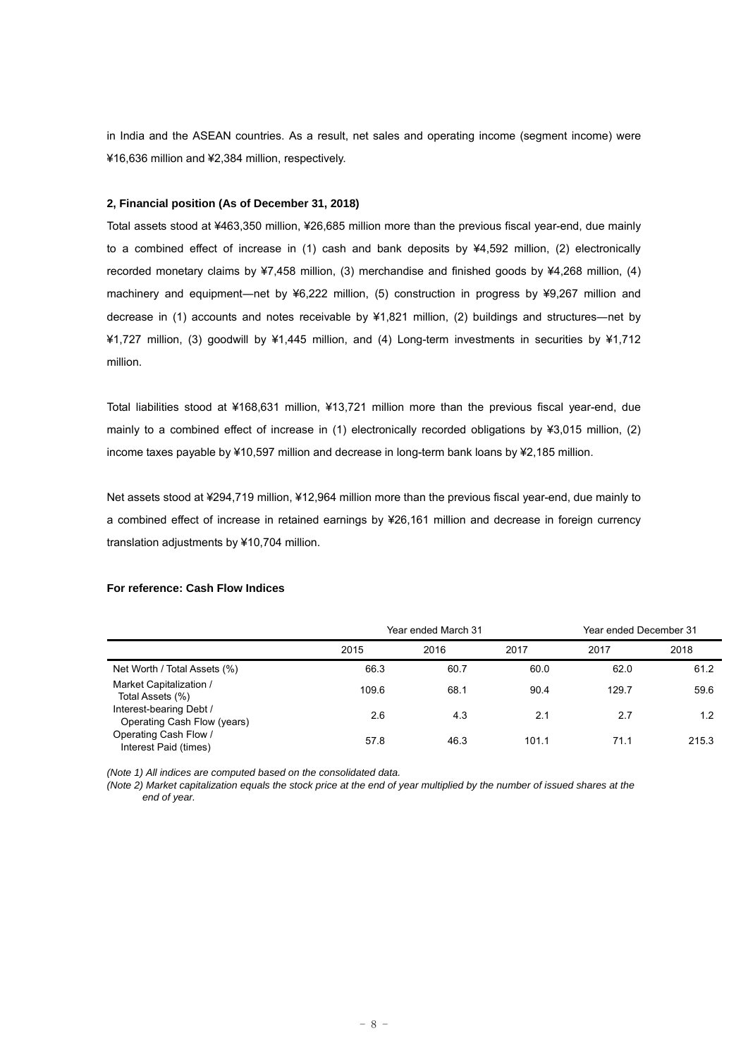in India and the ASEAN countries. As a result, net sales and operating income (segment income) were ¥16,636 million and ¥2,384 million, respectively.

#### **2, Financial position (As of December 31, 2018)**

Total assets stood at ¥463,350 million, ¥26,685 million more than the previous fiscal year-end, due mainly to a combined effect of increase in (1) cash and bank deposits by ¥4,592 million, (2) electronically recorded monetary claims by ¥7,458 million, (3) merchandise and finished goods by ¥4,268 million, (4) machinery and equipment―net by ¥6,222 million, (5) construction in progress by ¥9,267 million and decrease in (1) accounts and notes receivable by ¥1,821 million, (2) buildings and structures―net by ¥1,727 million, (3) goodwill by ¥1,445 million, and (4) Long-term investments in securities by ¥1,712 million.

Total liabilities stood at ¥168,631 million, ¥13,721 million more than the previous fiscal year-end, due mainly to a combined effect of increase in (1) electronically recorded obligations by ¥3,015 million, (2) income taxes payable by ¥10,597 million and decrease in long-term bank loans by ¥2,185 million.

Net assets stood at ¥294,719 million, ¥12,964 million more than the previous fiscal year-end, due mainly to a combined effect of increase in retained earnings by ¥26,161 million and decrease in foreign currency translation adjustments by ¥10,704 million.

#### **For reference: Cash Flow Indices**

|                                                        | Year ended March 31 |      | Year ended December 31 |       |       |
|--------------------------------------------------------|---------------------|------|------------------------|-------|-------|
|                                                        | 2015                | 2016 | 2017                   | 2017  | 2018  |
| Net Worth / Total Assets (%)                           | 66.3                | 60.7 | 60.0                   | 62.0  | 61.2  |
| Market Capitalization /<br>Total Assets (%)            | 109.6               | 68.1 | 90.4                   | 129.7 | 59.6  |
| Interest-bearing Debt /<br>Operating Cash Flow (years) | 2.6                 | 4.3  | 2.1                    | 2.7   | 1.2   |
| Operating Cash Flow /<br>Interest Paid (times)         | 57.8                | 46.3 | 101.1                  | 71.1  | 215.3 |

*(Note 1) All indices are computed based on the consolidated data.* 

*(Note 2) Market capitalization equals the stock price at the end of year multiplied by the number of issued shares at the end of year.*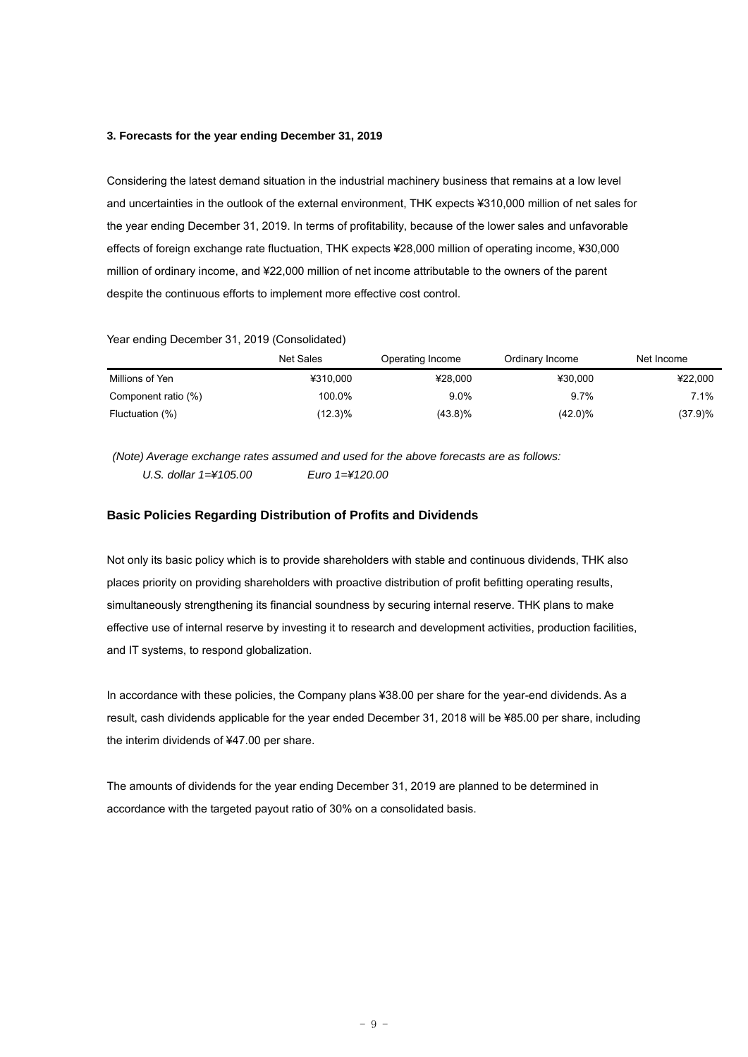#### **3. Forecasts for the year ending December 31, 2019**

Considering the latest demand situation in the industrial machinery business that remains at a low level and uncertainties in the outlook of the external environment, THK expects ¥310,000 million of net sales for the year ending December 31, 2019. In terms of profitability, because of the lower sales and unfavorable effects of foreign exchange rate fluctuation, THK expects ¥28,000 million of operating income, ¥30,000 million of ordinary income, and ¥22,000 million of net income attributable to the owners of the parent despite the continuous efforts to implement more effective cost control.

### Year ending December 31, 2019 (Consolidated)

|                     | Net Sales  | Operating Income | Ordinary Income | Net Income |
|---------------------|------------|------------------|-----------------|------------|
| Millions of Yen     | ¥310.000   | ¥28,000          | ¥30.000         | ¥22,000    |
| Component ratio (%) | 100.0%     | 9.0%             | 9.7%            | 7.1%       |
| Fluctuation (%)     | $(12.3)\%$ | (43.8)%          | $(42.0)\%$      | (37.9)%    |

 *(Note) Average exchange rates assumed and used for the above forecasts are as follows: U.S. dollar 1=¥105.00 Euro 1=¥120.00* 

## **Basic Policies Regarding Distribution of Profits and Dividends**

Not only its basic policy which is to provide shareholders with stable and continuous dividends, THK also places priority on providing shareholders with proactive distribution of profit befitting operating results, simultaneously strengthening its financial soundness by securing internal reserve. THK plans to make effective use of internal reserve by investing it to research and development activities, production facilities, and IT systems, to respond globalization.

In accordance with these policies, the Company plans ¥38.00 per share for the year-end dividends. As a result, cash dividends applicable for the year ended December 31, 2018 will be ¥85.00 per share, including the interim dividends of ¥47.00 per share.

The amounts of dividends for the year ending December 31, 2019 are planned to be determined in accordance with the targeted payout ratio of 30% on a consolidated basis.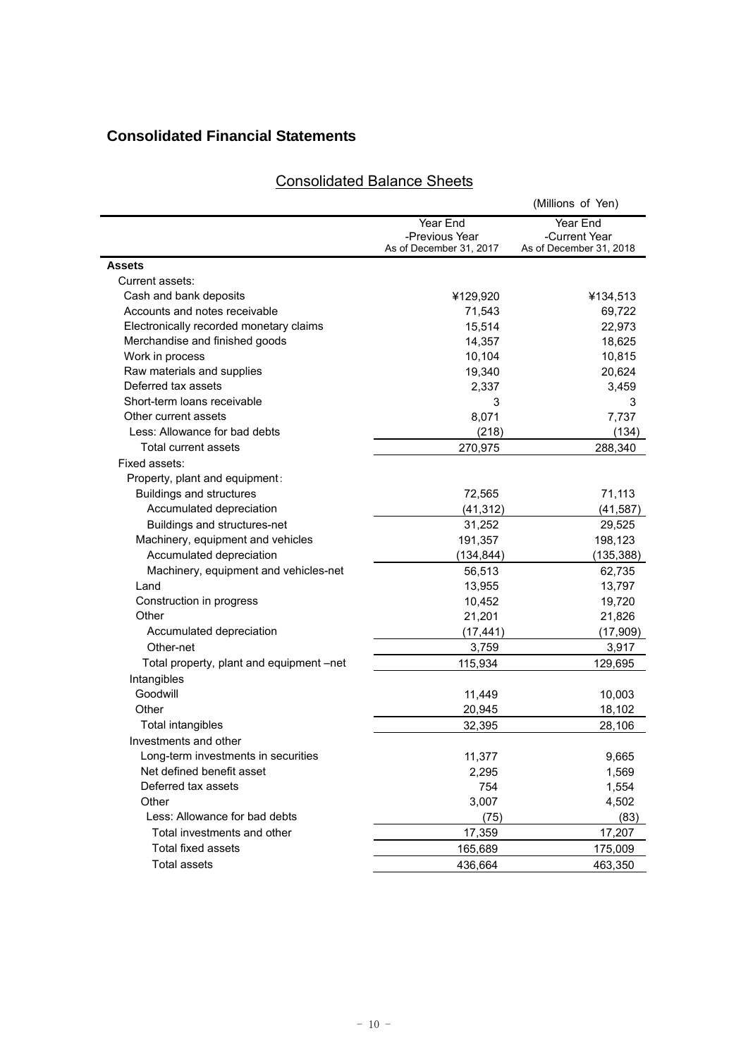## **Consolidated Financial Statements**

# Consolidated Balance Sheets

|                                          |                         | (Millions of Yen)       |
|------------------------------------------|-------------------------|-------------------------|
|                                          | Year End                | Year End                |
|                                          | -Previous Year          | -Current Year           |
|                                          | As of December 31, 2017 | As of December 31, 2018 |
| <b>Assets</b>                            |                         |                         |
| Current assets:                          |                         |                         |
| Cash and bank deposits                   | ¥129,920                | ¥134,513                |
| Accounts and notes receivable            | 71,543                  | 69,722                  |
| Electronically recorded monetary claims  | 15,514                  | 22,973                  |
| Merchandise and finished goods           | 14,357                  | 18,625                  |
| Work in process                          | 10,104                  | 10,815                  |
| Raw materials and supplies               | 19,340                  | 20,624                  |
| Deferred tax assets                      | 2,337                   | 3,459                   |
| Short-term loans receivable              | 3                       | 3                       |
| Other current assets                     | 8,071                   | 7,737                   |
| Less: Allowance for bad debts            | (218)                   | (134)                   |
| Total current assets                     | 270,975                 | 288,340                 |
| Fixed assets:                            |                         |                         |
| Property, plant and equipment:           |                         |                         |
| <b>Buildings and structures</b>          | 72,565                  | 71,113                  |
| Accumulated depreciation                 | (41, 312)               | (41, 587)               |
| Buildings and structures-net             | 31,252                  | 29,525                  |
| Machinery, equipment and vehicles        | 191,357                 | 198,123                 |
| Accumulated depreciation                 | (134, 844)              | (135, 388)              |
| Machinery, equipment and vehicles-net    | 56,513                  | 62,735                  |
| Land                                     | 13,955                  | 13,797                  |
| Construction in progress                 | 10,452                  | 19,720                  |
| Other                                    | 21,201                  | 21,826                  |
| Accumulated depreciation                 | (17, 441)               | (17,909)                |
| Other-net                                | 3,759                   | 3,917                   |
| Total property, plant and equipment –net | 115,934                 | 129,695                 |
| Intangibles                              |                         |                         |
| Goodwill                                 | 11,449                  | 10,003                  |
| Other                                    | 20,945                  | 18,102                  |
| Total intangibles                        | 32,395                  | 28,106                  |
| Investments and other                    |                         |                         |
| Long-term investments in securities      | 11,377                  | 9,665                   |
| Net defined benefit asset                | 2,295                   | 1,569                   |
| Deferred tax assets                      | 754                     | 1,554                   |
| Other                                    | 3,007                   | 4,502                   |
| Less: Allowance for bad debts            | (75)                    | (83)                    |
| Total investments and other              | 17,359                  | 17,207                  |
| Total fixed assets                       | 165,689                 | 175,009                 |
| <b>Total assets</b>                      | 436,664                 | 463,350                 |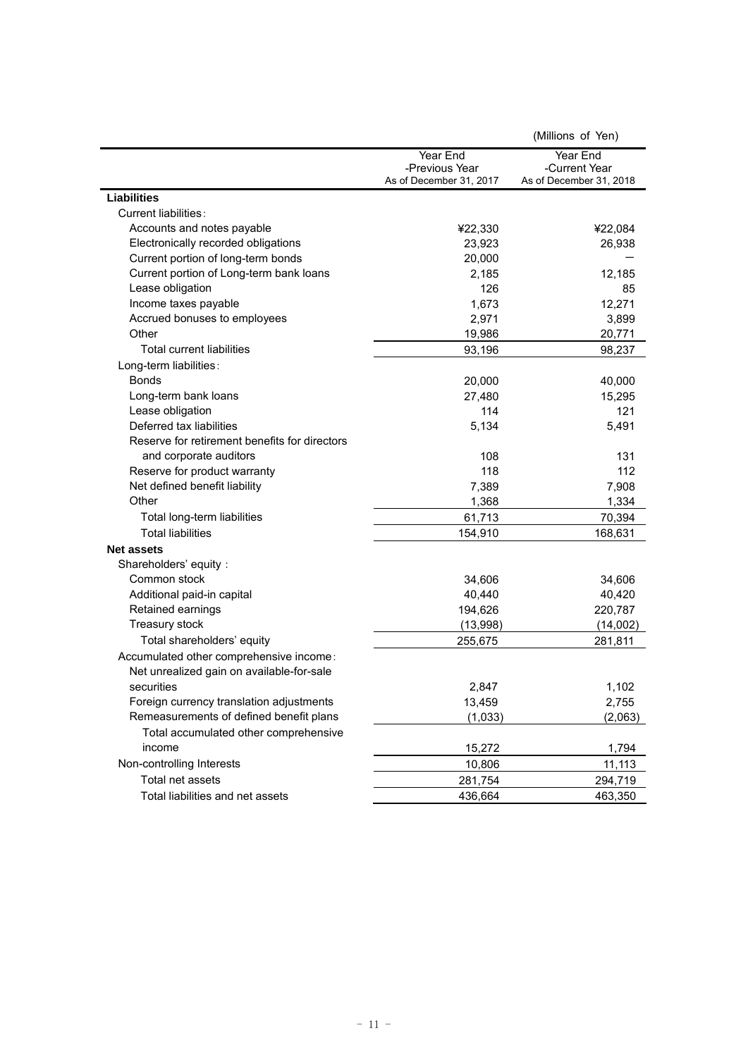|                                               |                         | (Millions of Yen)       |
|-----------------------------------------------|-------------------------|-------------------------|
|                                               | Year End                | Year End                |
|                                               | -Previous Year          | -Current Year           |
|                                               | As of December 31, 2017 | As of December 31, 2018 |
| <b>Liabilities</b>                            |                         |                         |
| Current liabilities:                          |                         |                         |
| Accounts and notes payable                    | ¥22,330                 | ¥22,084                 |
| Electronically recorded obligations           | 23,923                  | 26,938                  |
| Current portion of long-term bonds            | 20,000                  |                         |
| Current portion of Long-term bank loans       | 2,185                   | 12,185                  |
| Lease obligation                              | 126                     | 85                      |
| Income taxes payable                          | 1,673                   | 12,271                  |
| Accrued bonuses to employees                  | 2,971                   | 3,899                   |
| Other                                         | 19,986                  | 20,771                  |
| Total current liabilities                     | 93,196                  | 98,237                  |
| Long-term liabilities:                        |                         |                         |
| <b>Bonds</b>                                  | 20,000                  | 40,000                  |
| Long-term bank loans                          | 27,480                  | 15,295                  |
| Lease obligation                              | 114                     | 121                     |
| Deferred tax liabilities                      | 5,134                   | 5,491                   |
| Reserve for retirement benefits for directors |                         |                         |
| and corporate auditors                        | 108                     | 131                     |
| Reserve for product warranty                  | 118                     | 112                     |
| Net defined benefit liability                 | 7,389                   | 7,908                   |
| Other                                         | 1,368                   | 1,334                   |
| Total long-term liabilities                   | 61,713                  | 70,394                  |
| <b>Total liabilities</b>                      | 154,910                 | 168,631                 |
| <b>Net assets</b>                             |                         |                         |
| Shareholders' equity:                         |                         |                         |
| Common stock                                  | 34,606                  | 34,606                  |
| Additional paid-in capital                    | 40,440                  | 40,420                  |
| Retained earnings                             | 194,626                 | 220,787                 |
| Treasury stock                                | (13,998)                | (14,002)                |
| Total shareholders' equity                    | 255,675                 | 281,811                 |
| Accumulated other comprehensive income:       |                         |                         |
| Net unrealized gain on available-for-sale     |                         |                         |
| securities                                    | 2,847                   | 1,102                   |
| Foreign currency translation adjustments      | 13,459                  | 2,755                   |
| Remeasurements of defined benefit plans       | (1,033)                 | (2,063)                 |
| Total accumulated other comprehensive         |                         |                         |
| income                                        | 15,272                  | 1,794                   |
| Non-controlling Interests                     | 10,806                  | 11,113                  |
| Total net assets                              | 281,754                 | 294,719                 |
| Total liabilities and net assets              | 436,664                 | 463,350                 |
|                                               |                         |                         |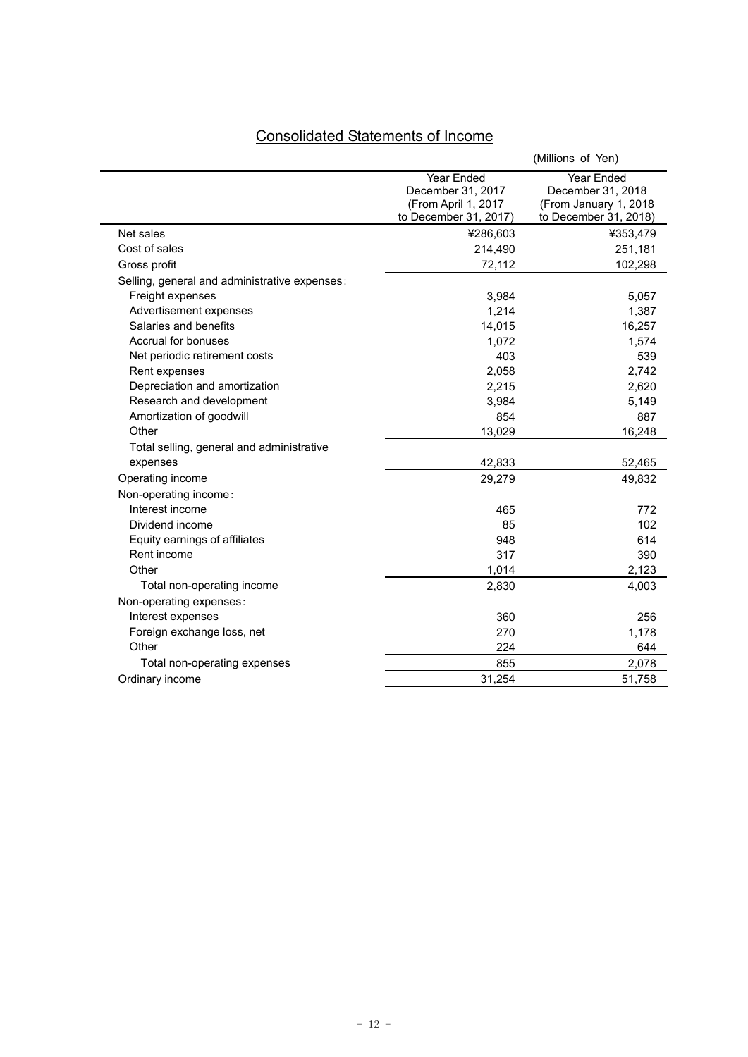| <b>Consolidated Statements of Income</b> |  |
|------------------------------------------|--|
|                                          |  |

|                                               |                                                                                 | (Millions of Yen)                                                                 |
|-----------------------------------------------|---------------------------------------------------------------------------------|-----------------------------------------------------------------------------------|
|                                               | Year Ended<br>December 31, 2017<br>(From April 1, 2017<br>to December 31, 2017) | Year Ended<br>December 31, 2018<br>(From January 1, 2018<br>to December 31, 2018) |
| Net sales                                     | ¥286,603                                                                        | ¥353,479                                                                          |
| Cost of sales                                 | 214,490                                                                         | 251,181                                                                           |
| Gross profit                                  | 72,112                                                                          | 102,298                                                                           |
| Selling, general and administrative expenses: |                                                                                 |                                                                                   |
| Freight expenses                              | 3,984                                                                           | 5,057                                                                             |
| Advertisement expenses                        | 1,214                                                                           | 1,387                                                                             |
| Salaries and benefits                         | 14,015                                                                          | 16,257                                                                            |
| Accrual for bonuses                           | 1,072                                                                           | 1,574                                                                             |
| Net periodic retirement costs                 | 403                                                                             | 539                                                                               |
| Rent expenses                                 | 2,058                                                                           | 2,742                                                                             |
| Depreciation and amortization                 | 2,215                                                                           | 2,620                                                                             |
| Research and development                      | 3,984                                                                           | 5,149                                                                             |
| Amortization of goodwill                      | 854                                                                             | 887                                                                               |
| Other                                         | 13,029                                                                          | 16,248                                                                            |
| Total selling, general and administrative     |                                                                                 |                                                                                   |
| expenses                                      | 42,833                                                                          | 52,465                                                                            |
| Operating income                              | 29,279                                                                          | 49,832                                                                            |
| Non-operating income:                         |                                                                                 |                                                                                   |
| Interest income                               | 465                                                                             | 772                                                                               |
| Dividend income                               | 85                                                                              | 102                                                                               |
| Equity earnings of affiliates                 | 948                                                                             | 614                                                                               |
| Rent income                                   | 317                                                                             | 390                                                                               |
| Other                                         | 1,014                                                                           | 2,123                                                                             |
| Total non-operating income                    | 2,830                                                                           | 4,003                                                                             |
| Non-operating expenses:                       |                                                                                 |                                                                                   |
| Interest expenses                             | 360                                                                             | 256                                                                               |
| Foreign exchange loss, net                    | 270                                                                             | 1,178                                                                             |
| Other                                         | 224                                                                             | 644                                                                               |
| Total non-operating expenses                  | 855                                                                             | 2,078                                                                             |
| Ordinary income                               | 31,254                                                                          | 51,758                                                                            |
|                                               |                                                                                 |                                                                                   |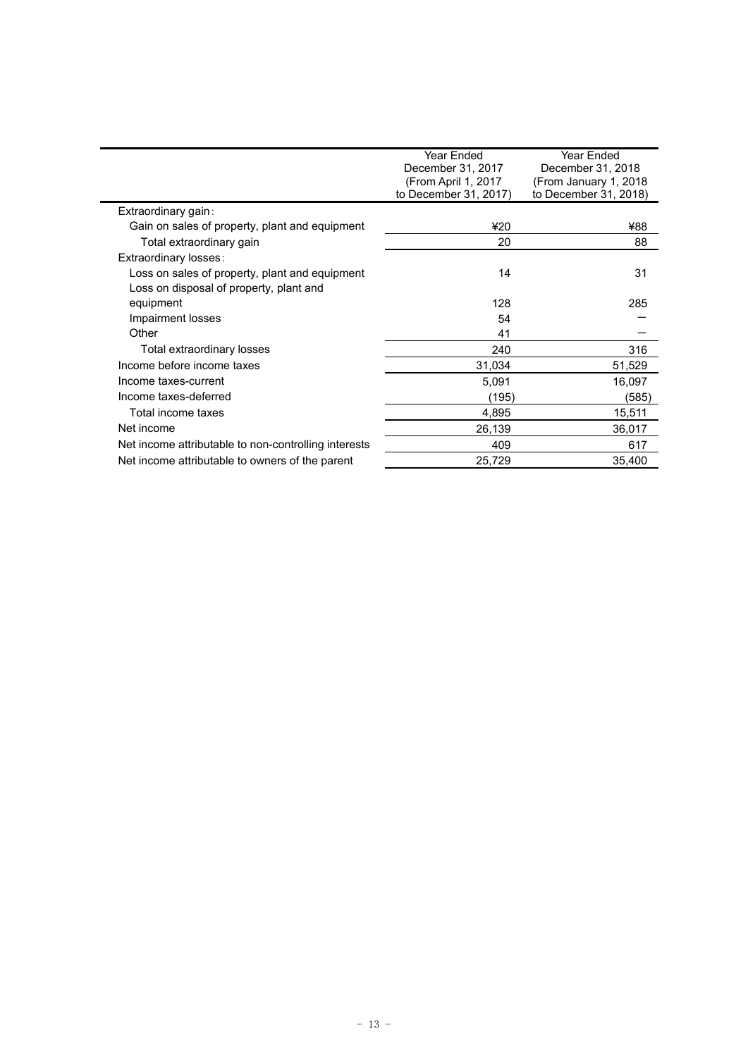|                                                      | Year Ended            | <b>Year Ended</b>      |
|------------------------------------------------------|-----------------------|------------------------|
|                                                      | December 31, 2017     | December 31, 2018      |
|                                                      | (From April 1, 2017   | (From January 1, 2018) |
|                                                      | to December 31, 2017) | to December 31, 2018)  |
| Extraordinary gain:                                  |                       |                        |
| Gain on sales of property, plant and equipment       | ¥20                   | ¥88                    |
| Total extraordinary gain                             | 20                    | 88                     |
| Extraordinary losses:                                |                       |                        |
| Loss on sales of property, plant and equipment       | 14                    | 31                     |
| Loss on disposal of property, plant and              |                       |                        |
| equipment                                            | 128                   | 285                    |
| Impairment losses                                    | 54                    |                        |
| Other                                                | 41                    |                        |
| Total extraordinary losses                           | 240                   | 316                    |
| Income before income taxes                           | 31,034                | 51,529                 |
| Income taxes-current                                 | 5,091                 | 16,097                 |
| Income taxes-deferred                                | (195)                 | (585)                  |
| Total income taxes                                   | 4,895                 | 15,511                 |
| Net income                                           | 26,139                | 36,017                 |
| Net income attributable to non-controlling interests | 409                   | 617                    |
| Net income attributable to owners of the parent      | 25,729                | 35,400                 |
|                                                      |                       |                        |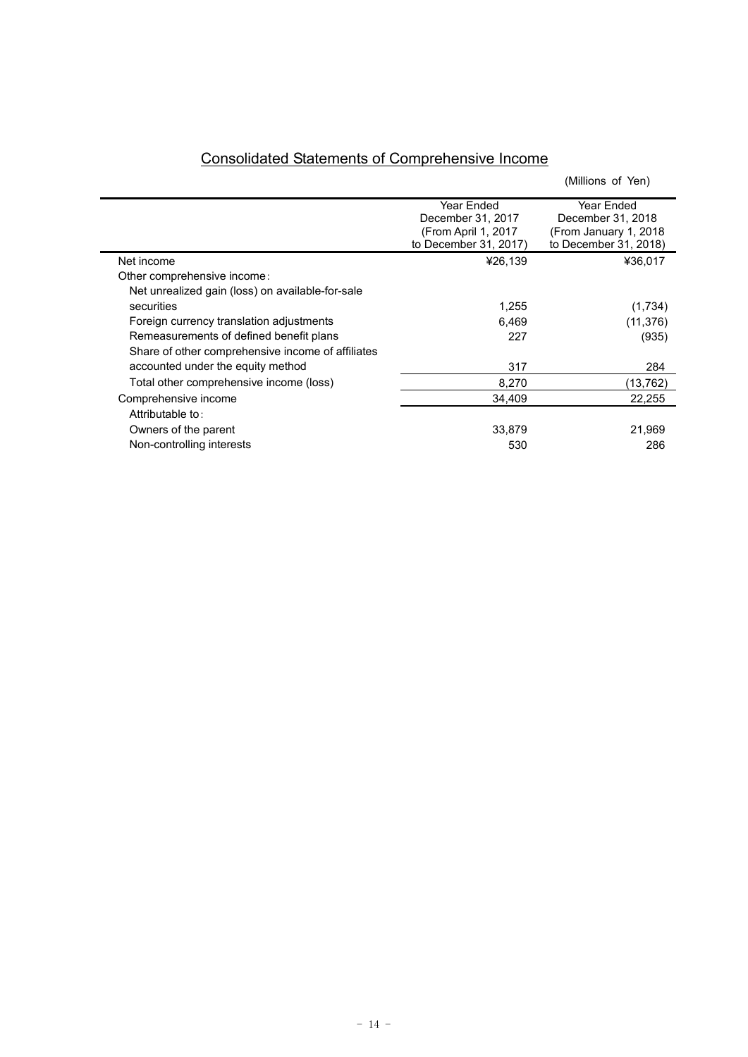|                                                   |                                                                                 | (Millions of Yen)                                                                  |
|---------------------------------------------------|---------------------------------------------------------------------------------|------------------------------------------------------------------------------------|
|                                                   | Year Ended<br>December 31, 2017<br>(From April 1, 2017<br>to December 31, 2017) | Year Ended<br>December 31, 2018<br>(From January 1, 2018)<br>to December 31, 2018) |
| Net income                                        | ¥26,139                                                                         | ¥36,017                                                                            |
| Other comprehensive income:                       |                                                                                 |                                                                                    |
| Net unrealized gain (loss) on available-for-sale  |                                                                                 |                                                                                    |
| securities                                        | 1,255                                                                           | (1,734)                                                                            |
| Foreign currency translation adjustments          | 6,469                                                                           | (11, 376)                                                                          |
| Remeasurements of defined benefit plans           | 227                                                                             | (935)                                                                              |
| Share of other comprehensive income of affiliates |                                                                                 |                                                                                    |
| accounted under the equity method                 | 317                                                                             | 284                                                                                |
| Total other comprehensive income (loss)           | 8,270                                                                           | (13, 762)                                                                          |
| Comprehensive income                              | 34,409                                                                          | 22,255                                                                             |
| Attributable to:                                  |                                                                                 |                                                                                    |
| Owners of the parent                              | 33,879                                                                          | 21,969                                                                             |
| Non-controlling interests                         | 530                                                                             | 286                                                                                |

# Consolidated Statements of Comprehensive Income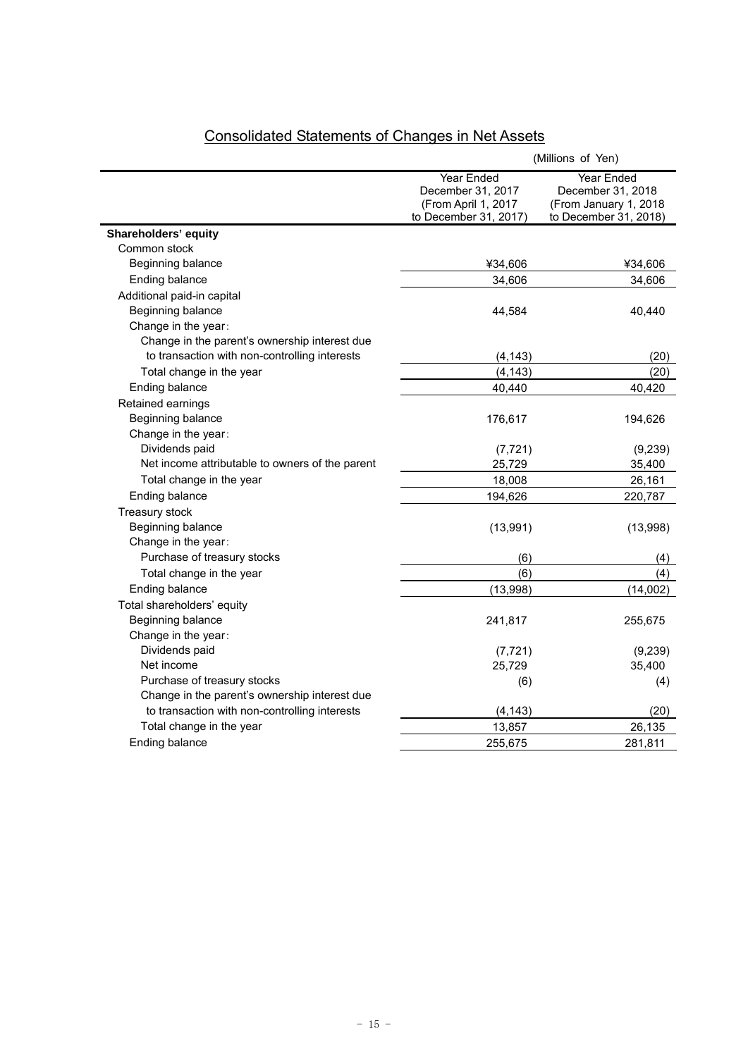|                                                 | (Millions of Yen)                                                                      |                                                                                   |
|-------------------------------------------------|----------------------------------------------------------------------------------------|-----------------------------------------------------------------------------------|
|                                                 | <b>Year Ended</b><br>December 31, 2017<br>(From April 1, 2017<br>to December 31, 2017) | Year Ended<br>December 31, 2018<br>(From January 1, 2018<br>to December 31, 2018) |
| Shareholders' equity                            |                                                                                        |                                                                                   |
| Common stock                                    |                                                                                        |                                                                                   |
| Beginning balance                               | ¥34,606                                                                                | ¥34,606                                                                           |
| Ending balance                                  | 34.606                                                                                 | 34,606                                                                            |
| Additional paid-in capital                      |                                                                                        |                                                                                   |
| Beginning balance                               | 44,584                                                                                 | 40,440                                                                            |
| Change in the year:                             |                                                                                        |                                                                                   |
| Change in the parent's ownership interest due   |                                                                                        |                                                                                   |
| to transaction with non-controlling interests   | (4, 143)                                                                               | (20)                                                                              |
| Total change in the year                        | (4, 143)                                                                               | (20)                                                                              |
| Ending balance                                  | 40,440                                                                                 | 40,420                                                                            |
| Retained earnings                               |                                                                                        |                                                                                   |
| Beginning balance                               | 176,617                                                                                | 194,626                                                                           |
| Change in the year:                             |                                                                                        |                                                                                   |
| Dividends paid                                  | (7, 721)                                                                               | (9,239)                                                                           |
| Net income attributable to owners of the parent | 25,729                                                                                 | 35,400                                                                            |
| Total change in the year                        | 18,008                                                                                 | 26,161                                                                            |
| Ending balance                                  | 194,626                                                                                | 220,787                                                                           |
| <b>Treasury stock</b>                           |                                                                                        |                                                                                   |
| Beginning balance                               | (13,991)                                                                               | (13,998)                                                                          |
| Change in the year:                             |                                                                                        |                                                                                   |
| Purchase of treasury stocks                     | (6)                                                                                    | (4)                                                                               |
| Total change in the year                        | (6)                                                                                    | (4)                                                                               |
| Ending balance                                  | (13,998)                                                                               | (14,002)                                                                          |
| Total shareholders' equity                      |                                                                                        |                                                                                   |
| Beginning balance                               | 241,817                                                                                | 255,675                                                                           |
| Change in the year:                             |                                                                                        |                                                                                   |
| Dividends paid                                  | (7, 721)                                                                               | (9, 239)                                                                          |
| Net income                                      | 25,729                                                                                 | 35,400                                                                            |
| Purchase of treasury stocks                     | (6)                                                                                    | (4)                                                                               |
| Change in the parent's ownership interest due   |                                                                                        |                                                                                   |
| to transaction with non-controlling interests   | (4, 143)                                                                               | (20)                                                                              |
| Total change in the year                        | 13,857                                                                                 | 26,135                                                                            |
| Ending balance                                  | 255,675                                                                                | 281,811                                                                           |

# Consolidated Statements of Changes in Net Assets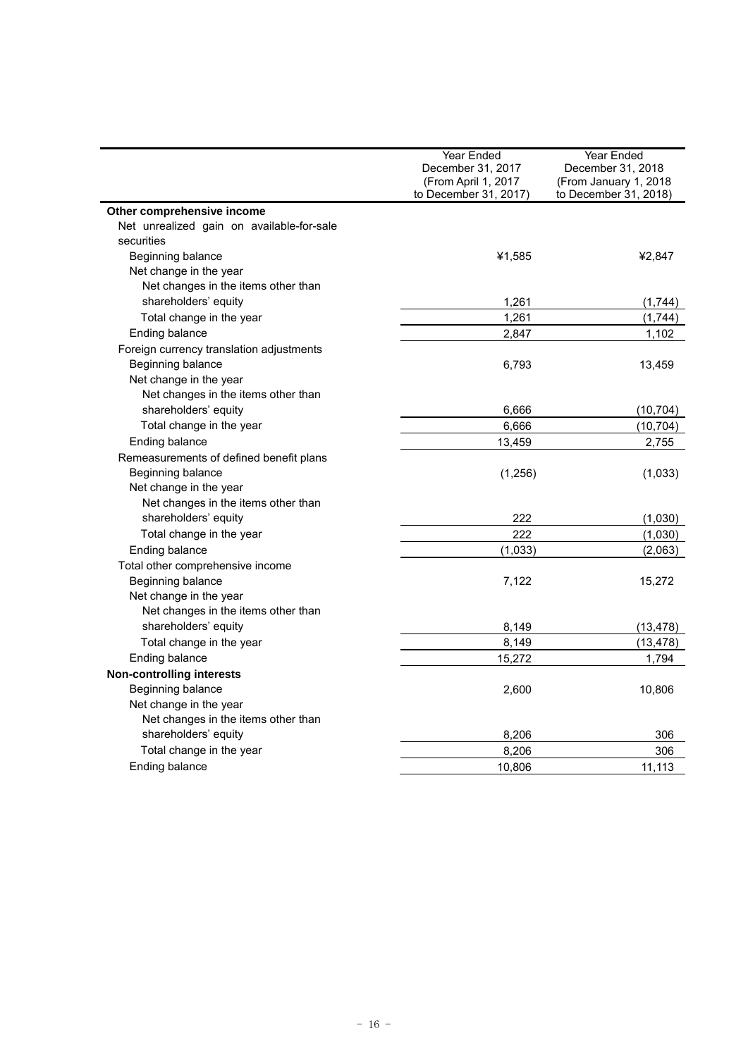|                                           | Year Ended            | Year Ended            |
|-------------------------------------------|-----------------------|-----------------------|
|                                           | December 31, 2017     | December 31, 2018     |
|                                           | (From April 1, 2017   | (From January 1, 2018 |
|                                           | to December 31, 2017) | to December 31, 2018) |
| Other comprehensive income                |                       |                       |
| Net unrealized gain on available-for-sale |                       |                       |
| securities                                |                       |                       |
| Beginning balance                         | ¥1,585                | ¥2,847                |
| Net change in the year                    |                       |                       |
| Net changes in the items other than       |                       |                       |
| shareholders' equity                      | 1,261                 | (1,744)               |
| Total change in the year                  | 1,261                 | (1,744)               |
| Ending balance                            | 2,847                 | 1,102                 |
| Foreign currency translation adjustments  |                       |                       |
| Beginning balance                         | 6,793                 | 13,459                |
| Net change in the year                    |                       |                       |
| Net changes in the items other than       |                       |                       |
| shareholders' equity                      | 6,666                 | (10, 704)             |
| Total change in the year                  | 6,666                 | (10, 704)             |
| Ending balance                            | 13,459                | 2,755                 |
| Remeasurements of defined benefit plans   |                       |                       |
| Beginning balance                         | (1,256)               | (1,033)               |
| Net change in the year                    |                       |                       |
| Net changes in the items other than       |                       |                       |
| shareholders' equity                      | 222                   | (1,030)               |
| Total change in the year                  | 222                   | (1,030)               |
| Ending balance                            | (1,033)               | (2,063)               |
| Total other comprehensive income          |                       |                       |
| Beginning balance                         | 7,122                 | 15,272                |
| Net change in the year                    |                       |                       |
| Net changes in the items other than       |                       |                       |
| shareholders' equity                      | 8,149                 | (13,478)              |
| Total change in the year                  | 8,149                 | (13, 478)             |
| Ending balance                            | 15,272                | 1,794                 |
| <b>Non-controlling interests</b>          |                       |                       |
| Beginning balance                         | 2,600                 | 10,806                |
| Net change in the year                    |                       |                       |
| Net changes in the items other than       |                       |                       |
| shareholders' equity                      | 8,206                 | 306                   |
| Total change in the year                  | 8,206                 | 306                   |
| Ending balance                            | 10,806                | 11,113                |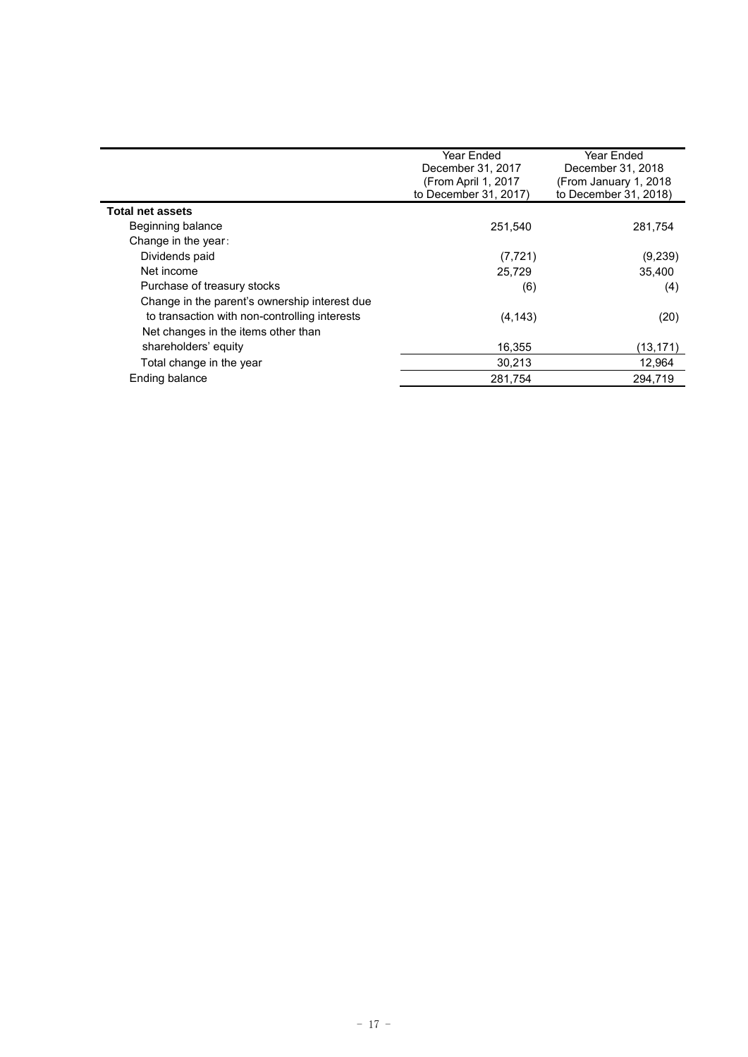|                                               | Year Ended<br>December 31, 2017<br>(From April 1, 2017<br>to December 31, 2017) | Year Ended<br>December 31, 2018<br>(From January 1, 2018<br>to December 31, 2018) |
|-----------------------------------------------|---------------------------------------------------------------------------------|-----------------------------------------------------------------------------------|
| <b>Total net assets</b>                       |                                                                                 |                                                                                   |
| Beginning balance                             | 251.540                                                                         | 281,754                                                                           |
| Change in the year:                           |                                                                                 |                                                                                   |
| Dividends paid                                | (7, 721)                                                                        | (9,239)                                                                           |
| Net income                                    | 25.729                                                                          | 35,400                                                                            |
| Purchase of treasury stocks                   | (6)                                                                             | (4)                                                                               |
| Change in the parent's ownership interest due |                                                                                 |                                                                                   |
| to transaction with non-controlling interests | (4, 143)                                                                        | (20)                                                                              |
| Net changes in the items other than           |                                                                                 |                                                                                   |
| shareholders' equity                          | 16,355                                                                          | (13, 171)                                                                         |
| Total change in the year                      | 30.213                                                                          | 12,964                                                                            |
| Ending balance                                | 281,754                                                                         | 294.719                                                                           |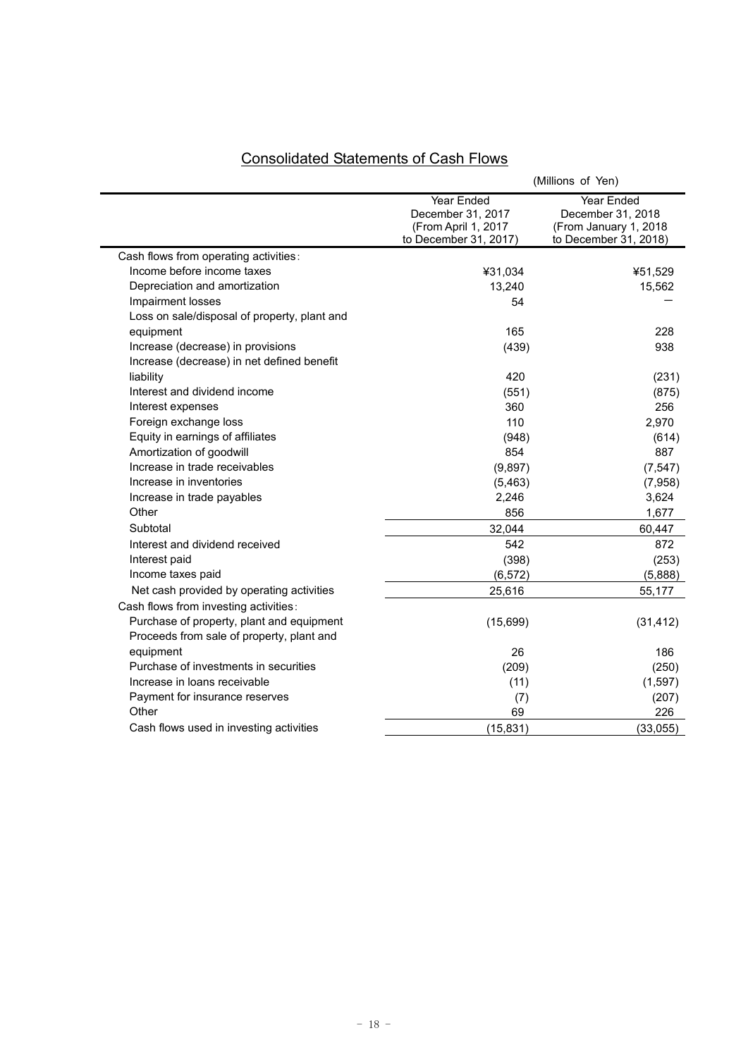|                                              | (Millions of Yen)                                                               |                                                                                    |
|----------------------------------------------|---------------------------------------------------------------------------------|------------------------------------------------------------------------------------|
|                                              | Year Ended<br>December 31, 2017<br>(From April 1, 2017<br>to December 31, 2017) | Year Ended<br>December 31, 2018<br>(From January 1, 2018)<br>to December 31, 2018) |
| Cash flows from operating activities:        |                                                                                 |                                                                                    |
| Income before income taxes                   | ¥31,034                                                                         | ¥51,529                                                                            |
| Depreciation and amortization                | 13,240                                                                          | 15,562                                                                             |
| Impairment losses                            | 54                                                                              |                                                                                    |
| Loss on sale/disposal of property, plant and |                                                                                 |                                                                                    |
| equipment                                    | 165                                                                             | 228                                                                                |
| Increase (decrease) in provisions            | (439)                                                                           | 938                                                                                |
| Increase (decrease) in net defined benefit   |                                                                                 |                                                                                    |
| liability                                    | 420                                                                             | (231)                                                                              |
| Interest and dividend income                 | (551)                                                                           | (875)                                                                              |
| Interest expenses                            | 360                                                                             | 256                                                                                |
| Foreign exchange loss                        | 110                                                                             | 2,970                                                                              |
| Equity in earnings of affiliates             | (948)                                                                           | (614)                                                                              |
| Amortization of goodwill                     | 854                                                                             | 887                                                                                |
| Increase in trade receivables                | (9,897)                                                                         | (7, 547)                                                                           |
| Increase in inventories                      | (5, 463)                                                                        | (7,958)                                                                            |
| Increase in trade payables                   | 2,246                                                                           | 3,624                                                                              |
| Other                                        | 856                                                                             | 1,677                                                                              |
| Subtotal                                     | 32,044                                                                          | 60,447                                                                             |
| Interest and dividend received               | 542                                                                             | 872                                                                                |
| Interest paid                                | (398)                                                                           | (253)                                                                              |
| Income taxes paid                            | (6, 572)                                                                        | (5,888)                                                                            |
| Net cash provided by operating activities    | 25,616                                                                          | 55,177                                                                             |
| Cash flows from investing activities:        |                                                                                 |                                                                                    |
| Purchase of property, plant and equipment    | (15,699)                                                                        | (31, 412)                                                                          |
| Proceeds from sale of property, plant and    |                                                                                 |                                                                                    |
| equipment                                    | 26                                                                              | 186                                                                                |
| Purchase of investments in securities        | (209)                                                                           | (250)                                                                              |
| Increase in loans receivable                 | (11)                                                                            | (1, 597)                                                                           |
| Payment for insurance reserves               | (7)                                                                             | (207)                                                                              |
| Other                                        | 69                                                                              | 226                                                                                |
| Cash flows used in investing activities      | (15, 831)                                                                       | (33,055)                                                                           |

## Consolidated Statements of Cash Flows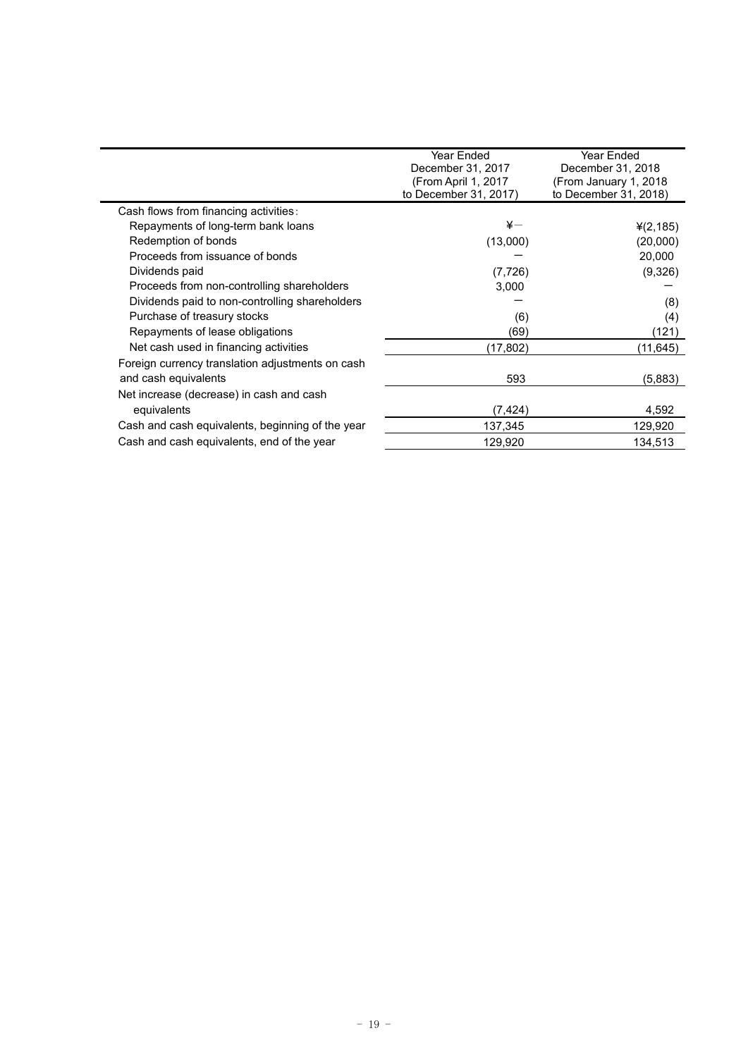|                                                  | Year Ended<br><b>Year Ended</b><br>December 31, 2017<br>December 31, 2018<br>(From April 1, 2017<br>(From January 1, 2018)<br>to December 31, 2017)<br>to December 31, 2018) |           |
|--------------------------------------------------|------------------------------------------------------------------------------------------------------------------------------------------------------------------------------|-----------|
| Cash flows from financing activities:            |                                                                                                                                                                              |           |
| Repayments of long-term bank loans               | ¥—                                                                                                                                                                           | (2, 185)  |
| Redemption of bonds                              | (13,000)                                                                                                                                                                     | (20,000)  |
| Proceeds from issuance of bonds                  |                                                                                                                                                                              | 20,000    |
| Dividends paid                                   | (7, 726)                                                                                                                                                                     | (9,326)   |
| Proceeds from non-controlling shareholders       | 3,000                                                                                                                                                                        |           |
| Dividends paid to non-controlling shareholders   |                                                                                                                                                                              | (8)       |
| Purchase of treasury stocks                      | (6)                                                                                                                                                                          | (4)       |
| Repayments of lease obligations                  | (69)                                                                                                                                                                         | (121)     |
| Net cash used in financing activities            | (17, 802)                                                                                                                                                                    | (11, 645) |
| Foreign currency translation adjustments on cash |                                                                                                                                                                              |           |
| and cash equivalents                             | 593                                                                                                                                                                          | (5,883)   |
| Net increase (decrease) in cash and cash         |                                                                                                                                                                              |           |
| equivalents                                      | (7, 424)                                                                                                                                                                     | 4,592     |
| Cash and cash equivalents, beginning of the year | 137,345                                                                                                                                                                      | 129,920   |
| Cash and cash equivalents, end of the year       | 129,920                                                                                                                                                                      | 134.513   |
|                                                  |                                                                                                                                                                              |           |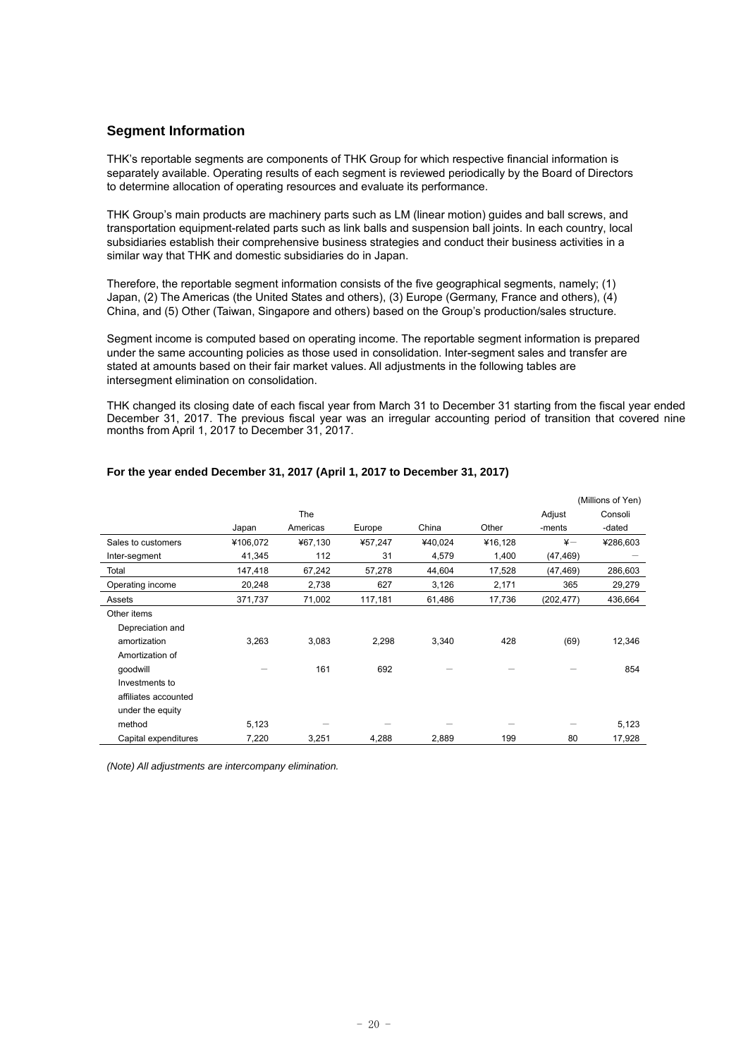## **Segment Information**

THK's reportable segments are components of THK Group for which respective financial information is separately available. Operating results of each segment is reviewed periodically by the Board of Directors to determine allocation of operating resources and evaluate its performance.

THK Group's main products are machinery parts such as LM (linear motion) guides and ball screws, and transportation equipment-related parts such as link balls and suspension ball joints. In each country, local subsidiaries establish their comprehensive business strategies and conduct their business activities in a similar way that THK and domestic subsidiaries do in Japan.

Therefore, the reportable segment information consists of the five geographical segments, namely; (1) Japan, (2) The Americas (the United States and others), (3) Europe (Germany, France and others), (4) China, and (5) Other (Taiwan, Singapore and others) based on the Group's production/sales structure.

Segment income is computed based on operating income. The reportable segment information is prepared under the same accounting policies as those used in consolidation. Inter-segment sales and transfer are stated at amounts based on their fair market values. All adjustments in the following tables are intersegment elimination on consolidation.

THK changed its closing date of each fiscal year from March 31 to December 31 starting from the fiscal year ended December 31, 2017. The previous fiscal year was an irregular accounting period of transition that covered nine months from April 1, 2017 to December 31, 2017.

|                      |          |          |         |         | (Millions of Yen) |               |          |
|----------------------|----------|----------|---------|---------|-------------------|---------------|----------|
|                      |          | The      |         |         |                   | Adjust        | Consoli  |
|                      | Japan    | Americas | Europe  | China   | Other             | -ments        | -dated   |
| Sales to customers   | ¥106,072 | ¥67,130  | ¥57,247 | ¥40,024 | ¥16,128           | $\frac{1}{2}$ | ¥286,603 |
| Inter-segment        | 41,345   | 112      | 31      | 4,579   | 1,400             | (47,469)      |          |
| Total                | 147,418  | 67,242   | 57,278  | 44,604  | 17,528            | (47,469)      | 286,603  |
| Operating income     | 20,248   | 2,738    | 627     | 3,126   | 2,171             | 365           | 29,279   |
| Assets               | 371,737  | 71,002   | 117,181 | 61,486  | 17,736            | (202, 477)    | 436,664  |
| Other items          |          |          |         |         |                   |               |          |
| Depreciation and     |          |          |         |         |                   |               |          |
| amortization         | 3,263    | 3,083    | 2,298   | 3,340   | 428               | (69)          | 12,346   |
| Amortization of      |          |          |         |         |                   |               |          |
| qoodwill             |          | 161      | 692     |         |                   |               | 854      |
| Investments to       |          |          |         |         |                   |               |          |
| affiliates accounted |          |          |         |         |                   |               |          |
| under the equity     |          |          |         |         |                   |               |          |
| method               | 5,123    |          |         |         |                   |               | 5,123    |
| Capital expenditures | 7,220    | 3,251    | 4,288   | 2,889   | 199               | 80            | 17,928   |

## **For the year ended December 31, 2017 (April 1, 2017 to December 31, 2017)**

*(Note) All adjustments are intercompany elimination.*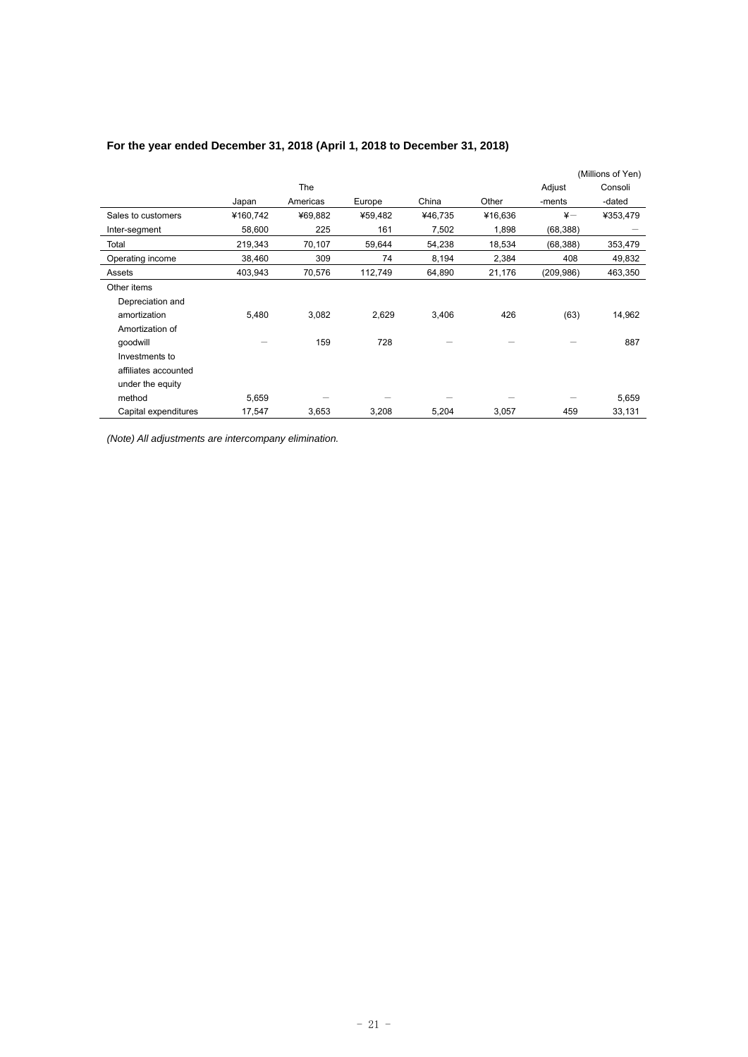|                      |          |            |         |         |         | (Millions of Yen) |          |
|----------------------|----------|------------|---------|---------|---------|-------------------|----------|
|                      |          | <b>The</b> |         |         |         | Adjust            | Consoli  |
|                      | Japan    | Americas   | Europe  | China   | Other   | -ments            | -dated   |
| Sales to customers   | ¥160,742 | ¥69,882    | ¥59,482 | ¥46,735 | ¥16,636 | $\frac{1}{2}$     | ¥353,479 |
| Inter-segment        | 58,600   | 225        | 161     | 7,502   | 1,898   | (68, 388)         |          |
| Total                | 219,343  | 70,107     | 59,644  | 54,238  | 18,534  | (68, 388)         | 353,479  |
| Operating income     | 38,460   | 309        | 74      | 8,194   | 2,384   | 408               | 49,832   |
| Assets               | 403,943  | 70,576     | 112,749 | 64,890  | 21,176  | (209, 986)        | 463,350  |
| Other items          |          |            |         |         |         |                   |          |
| Depreciation and     |          |            |         |         |         |                   |          |
| amortization         | 5,480    | 3,082      | 2,629   | 3,406   | 426     | (63)              | 14,962   |
| Amortization of      |          |            |         |         |         |                   |          |
| qoodwill             |          | 159        | 728     |         |         |                   | 887      |
| Investments to       |          |            |         |         |         |                   |          |
| affiliates accounted |          |            |         |         |         |                   |          |
| under the equity     |          |            |         |         |         |                   |          |
| method               | 5,659    |            |         |         |         |                   | 5,659    |
| Capital expenditures | 17,547   | 3,653      | 3,208   | 5,204   | 3,057   | 459               | 33,131   |

## **For the year ended December 31, 2018 (April 1, 2018 to December 31, 2018)**

*(Note) All adjustments are intercompany elimination.*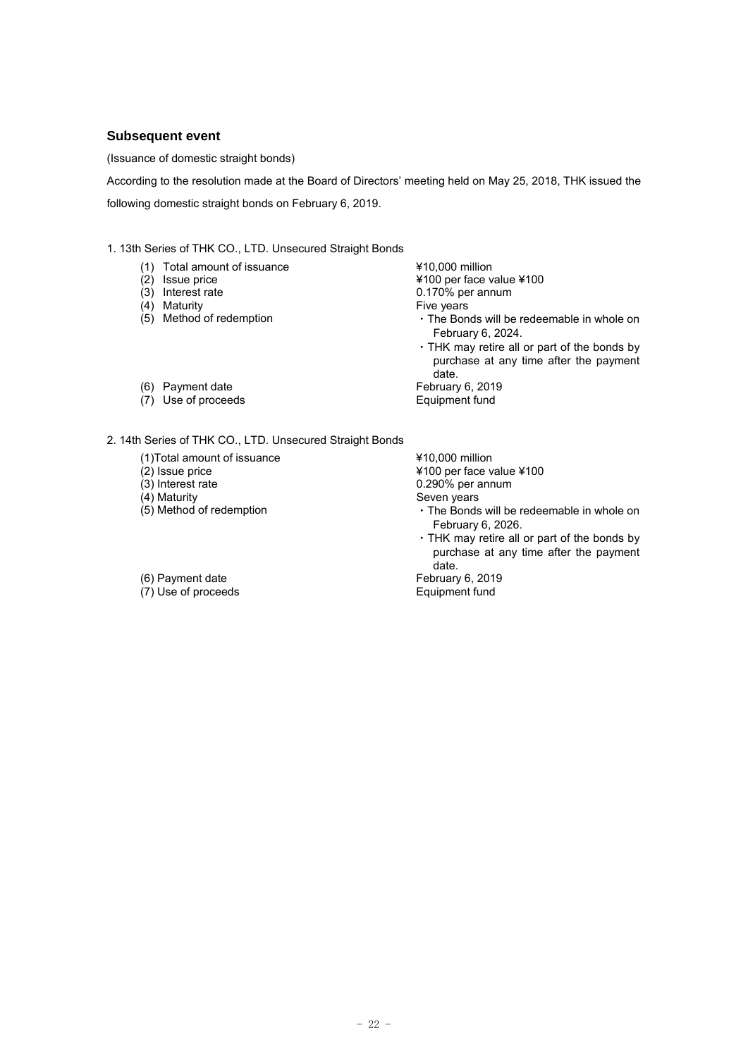### **Subsequent event**

(Issuance of domestic straight bonds)

According to the resolution made at the Board of Directors' meeting held on May 25, 2018, THK issued the following domestic straight bonds on February 6, 2019.

1. 13th Series of THK CO., LTD. Unsecured Straight Bonds

- (1) Total amount of issuance  $\frac{410,000 \text{ million}}{4100 \text{ per face}}$
- 
- 
- 
- (4) Maturity **Five years**<br>
(5) Method of redemption **Fixe South 1998** The Bon

¥100 per face value ¥100 (3) Interest rate 0.170% per annum

- $\cdot$  The Bonds will be redeemable in whole on February 6, 2024.
- ・THK may retire all or part of the bonds by purchase at any time after the payment date.<br>February 6, 2019
- (6) Payment date February 6, 2019<br>
(7) Use of proceeds February 6, 2019
- 
- $(7)$  Use of proceeds

2. 14th Series of THK CO., LTD. Unsecured Straight Bonds

- (1)Total amount of issuance  $\frac{410,000 \text{ million}}{4100 \text{ per face}}$
- 
- 
- 
- (4) Maturity Seven years<br>
(5) Method of redemption  $\cdot$  The Bonds

(2) Issue price  $\frac{4100 \text{ per face value } } 4100$ <br>(3) Interest rate 0.290% per annum

 $0.290%$  per annum

- $\cdot$  The Bonds will be redeemable in whole on February 6, 2026.
- ・THK may retire all or part of the bonds by purchase at any time after the payment date.<br>February 6, 2019

 $(7)$  Use of proceeds Equipment fund

- $(6)$  Payment date
-